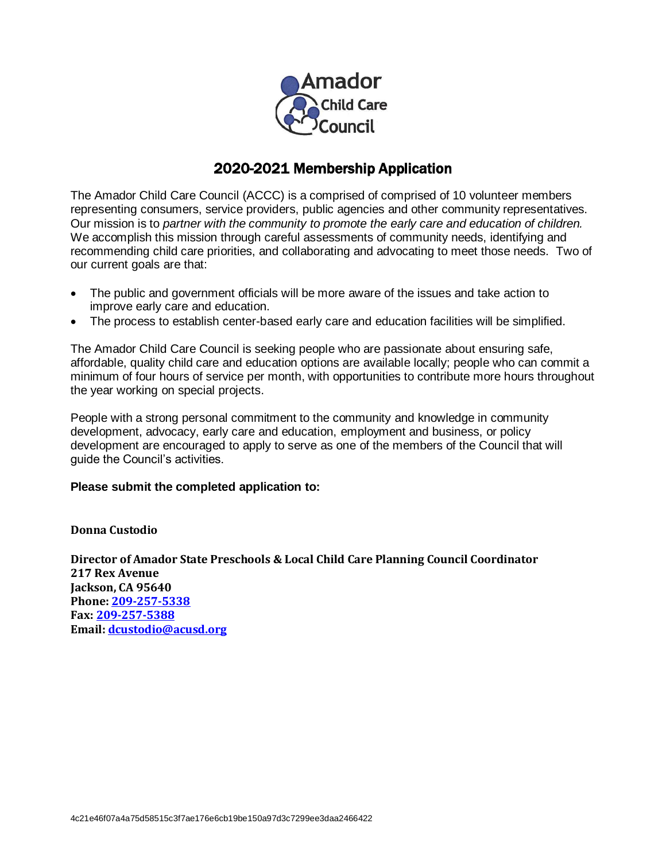

# 2020-2021 Membership Application

The Amador Child Care Council (ACCC) is a comprised of comprised of 10 volunteer members representing consumers, service providers, public agencies and other community representatives. Our mission is to *partner with the community to promote the early care and education of children.* We accomplish this mission through careful assessments of community needs, identifying and recommending child care priorities, and collaborating and advocating to meet those needs. Two of our current goals are that:

- The public and government officials will be more aware of the issues and take action to improve early care and education.
- The process to establish center-based early care and education facilities will be simplified.

The Amador Child Care Council is seeking people who are passionate about ensuring safe, affordable, quality child care and education options are available locally; people who can commit a minimum of four hours of service per month, with opportunities to contribute more hours throughout the year working on special projects.

People with a strong personal commitment to the community and knowledge in community development, advocacy, early care and education, employment and business, or policy development are encouraged to apply to serve as one of the members of the Council that will guide the Council's activities.

#### **Please submit the completed application to:**

#### **Donna Custodio**

**Director of Amador State Preschools & Local Child Care Planning Council Coordinator 217 Rex Avenue Jackson, CA 95640 Phone[: 209-257-5338](tel:209-257-5338) Fax: [209-257-5388](tel:209-257-5388) Email[: dcustodio@acusd.org](mailto:dcustodio@acusd.org)**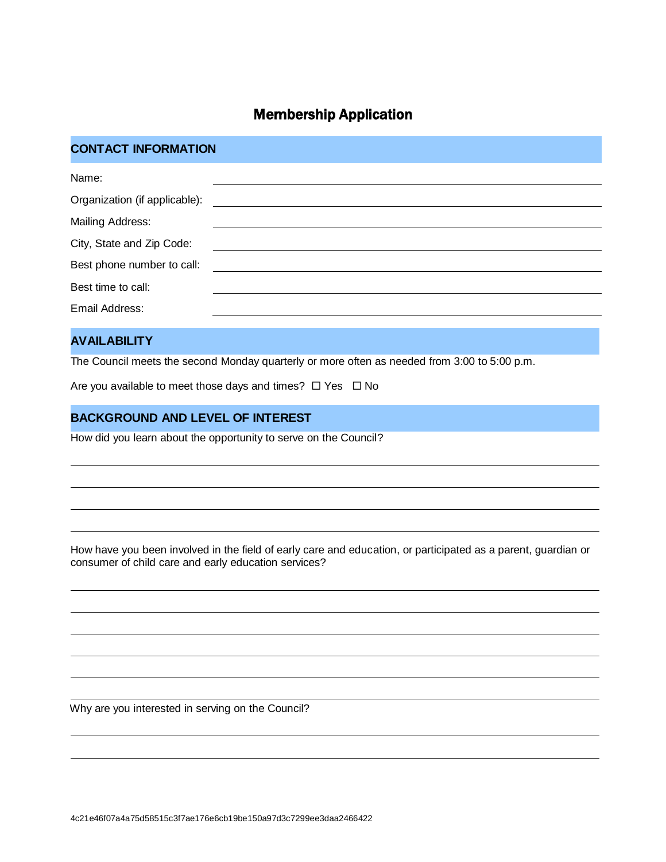# Membership Application

## **CONTACT INFORMATION**

| Name:                         |
|-------------------------------|
| Organization (if applicable): |
| Mailing Address:              |
| City, State and Zip Code:     |
| Best phone number to call:    |
| Best time to call:            |
| Email Address:                |

### **AVAILABILITY**

The Council meets the second Monday quarterly or more often as needed from 3:00 to 5:00 p.m.

Are you available to meet those days and times?  $\Box$  Yes  $\Box$  No

### **BACKGROUND AND LEVEL OF INTEREST**

How did you learn about the opportunity to serve on the Council?

How have you been involved in the field of early care and education, or participated as a parent, guardian or consumer of child care and early education services?

Why are you interested in serving on the Council?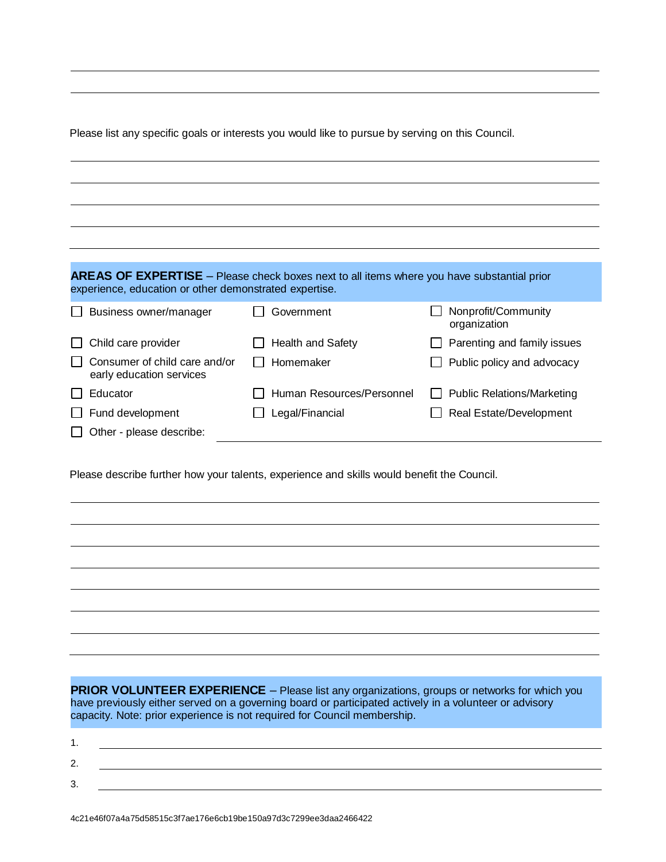Please list any specific goals or interests you would like to pursue by serving on this Council.

| experience, education or other demonstrated expertise.    | <b>AREAS OF EXPERTISE</b> – Please check boxes next to all items where you have substantial prior |                                     |
|-----------------------------------------------------------|---------------------------------------------------------------------------------------------------|-------------------------------------|
| Business owner/manager                                    | Government                                                                                        | Nonprofit/Community<br>organization |
| Child care provider                                       | Health and Safety                                                                                 | Parenting and family issues         |
| Consumer of child care and/or<br>early education services | Homemaker                                                                                         | Public policy and advocacy          |
| Educator                                                  | Human Resources/Personnel                                                                         | <b>Public Relations/Marketing</b>   |
| Fund development                                          | Legal/Financial                                                                                   | Real Estate/Development             |
| Other - please describe:                                  |                                                                                                   |                                     |

Please describe further how your talents, experience and skills would benefit the Council.

**PRIOR VOLUNTEER EXPERIENCE** – Please list any organizations, groups or networks for which you have previously either served on a governing board or participated actively in a volunteer or advisory capacity. Note: prior experience is not required for Council membership.

| <u>.</u> |  |  |
|----------|--|--|
|          |  |  |
| ້        |  |  |

4c21e46f07a4a75d58515c3f7ae176e6cb19be150a97d3c7299ee3daa2466422